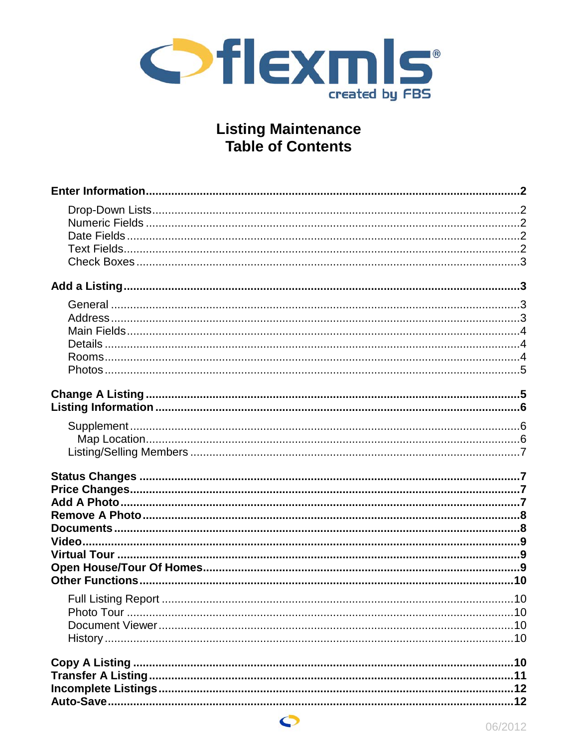

# **Listing Maintenance Table of Contents**

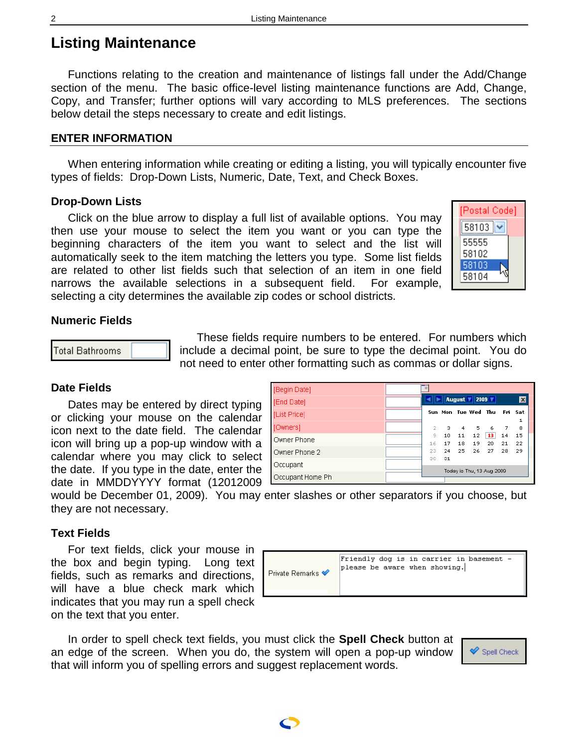# <span id="page-1-0"></span>**Listing Maintenance**

Functions relating to the creation and maintenance of listings fall under the Add/Change section of the menu. The basic office-level listing maintenance functions are Add, Change, Copy, and Transfer; further options will vary according to MLS preferences. The sections below detail the steps necessary to create and edit listings.

## **ENTER INFORMATION**

When entering information while creating or editing a listing, you will typically encounter five types of fields: Drop-Down Lists, Numeric, Date, Text, and Check Boxes.

### <span id="page-1-1"></span>**Drop-Down Lists**

Click on the blue arrow to display a full list of available options. You may then use your mouse to select the item you want or you can type the beginning characters of the item you want to select and the list will automatically seek to the item matching the letters you type. Some list fields are related to other list fields such that selection of an item in one field narrows the available selections in a subsequent field. For example, selecting a city determines the available zip codes or school districts.

| [Postal Code] |
|---------------|
| 58103         |
| 55555         |
| 58102         |
| 58103         |
| 58104         |
|               |

### <span id="page-1-2"></span>**Numeric Fields**



These fields require numbers to be entered. For numbers which include a decimal point, be sure to type the decimal point. You do not need to enter other formatting such as commas or dollar signs.

# <span id="page-1-3"></span>**Date Fields**

Dates may be entered by direct typing or clicking your mouse on the calendar icon next to the date field. The calendar icon will bring up a pop-up window with a calendar where you may click to select the date. If you type in the date, enter the date in MMDDYYYY format (12012009

| [Begin Date]     |         |          |          |                                     |          |          |                           |
|------------------|---------|----------|----------|-------------------------------------|----------|----------|---------------------------|
| [End Date]       |         |          |          | $\vert$ August $\vert$ 2009 $\vert$ |          |          | $\boldsymbol{\mathsf{x}}$ |
| [List Price]     |         |          |          | Sun Mon Tue Wed Thu                 |          |          | Fri Sat                   |
| [Owners]         | 2       | з        | 4        | 5                                   | 6        | 7        | 8                         |
| Owner Phone      | 9<br>16 | 10<br>17 | 11<br>18 | 12<br>19                            | 13<br>20 | 14<br>21 | 15<br>22                  |
| Owner Phone 2    | 23      | 24       | 25       | 26                                  | 27       | 28       | 29                        |
| Occupant         | 30      | 31       |          |                                     |          |          |                           |
| Occupant Home Ph |         |          |          | Today is Thu, 13 Aug 2009           |          |          |                           |

would be December 01, 2009). You may enter slashes or other separators if you choose, but they are not necessary.

#### <span id="page-1-4"></span>**Text Fields**

For text fields, click your mouse in the box and begin typing. Long text fields, such as remarks and directions, will have a blue check mark which indicates that you may run a spell check on the text that you enter.

|                   | Friendly dog is in carrier in basement - |
|-------------------|------------------------------------------|
| Private Remarks ❤ | please be aware when showing.            |

In order to spell check text fields, you must click the **Spell Check** button at an edge of the screen. When you do, the system will open a pop-up window that will inform you of spelling errors and suggest replacement words.



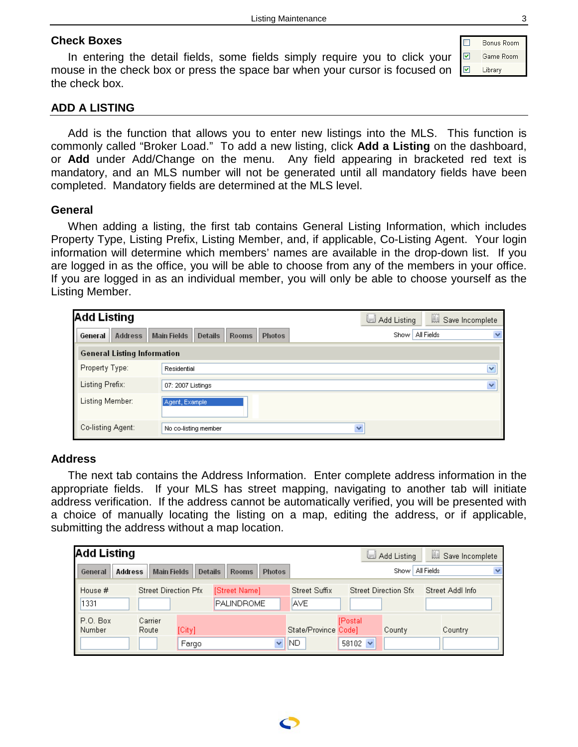# <span id="page-2-0"></span>**Check Boxes**

In entering the detail fields, some fields simply require you to click your mouse in the check box or press the space bar when your cursor is focused on the check box.

 $\Box$ Bonus Room  $\overline{\textbf{M}}$ Game Room  $\overline{\mathbf{z}}$ Library

# <span id="page-2-1"></span>**ADD A LISTING**

Add is the function that allows you to enter new listings into the MLS. This function is commonly called "Broker Load." To add a new listing, click **Add a Listing** on the dashboard, or **Add** under Add/Change on the menu. Any field appearing in bracketed red text is mandatory, and an MLS number will not be generated until all mandatory fields have been completed. Mandatory fields are determined at the MLS level.

### <span id="page-2-2"></span>**General**

When adding a listing, the first tab contains General Listing Information, which includes Property Type, Listing Prefix, Listing Member, and, if applicable, Co-Listing Agent. Your login information will determine which members' names are available in the drop-down list. If you are logged in as the office, you will be able to choose from any of the members in your office. If you are logged in as an individual member, you will only be able to choose yourself as the Listing Member.

| <b>Add Listing</b>                 |                                                                       | Save Incomplete<br>Add Listing                  |
|------------------------------------|-----------------------------------------------------------------------|-------------------------------------------------|
| <b>Address</b><br>General          | <b>Main Fields</b><br><b>Details</b><br><b>Rooms</b><br><b>Photos</b> | All Fields<br>$\overline{\mathbf{v}}$<br>Show I |
| <b>General Listing Information</b> |                                                                       |                                                 |
| Property Type:                     | Residential                                                           | $\overline{\mathbf{v}}$                         |
| Listing Prefix:                    | 07: 2007 Listings                                                     | $\overline{\mathbf{v}}$                         |
| Listing Member:                    | Agent, Example                                                        |                                                 |
| Co-listing Agent:                  | No co-listing member                                                  | $\checkmark$                                    |

# <span id="page-2-3"></span>**Address**

The next tab contains the Address Information. Enter complete address information in the appropriate fields. If your MLS has street mapping, navigating to another tab will initiate address verification. If the address cannot be automatically verified, you will be presented with a choice of manually locating the listing on a map, editing the address, or if applicable, submitting the address without a map location.

| <b>Add Listing</b>        |                                     |                                |               |                                    | u                        | Add Listing                 | 圓<br>Save Incomplete |   |
|---------------------------|-------------------------------------|--------------------------------|---------------|------------------------------------|--------------------------|-----------------------------|----------------------|---|
| General<br><b>Address</b> | <b>Main Fields</b>                  | <b>Details</b><br><b>Rooms</b> | <b>Photos</b> |                                    |                          | Show   All Fields           |                      | v |
| House #<br>1331           | <b>Street Direction Pfx</b>         | [Street Name]<br>PALINDROME    |               | <b>Street Suffix</b><br><b>AVE</b> |                          | <b>Street Direction Sfx</b> | Street Addl Info     |   |
| P.O. Box<br>Number        | Carrier<br>Route<br>[City]<br>Fargo |                                | $\checkmark$  | State/Province Code]<br>ND.        | [Postal]<br>58102 $\vee$ | County                      | Country              |   |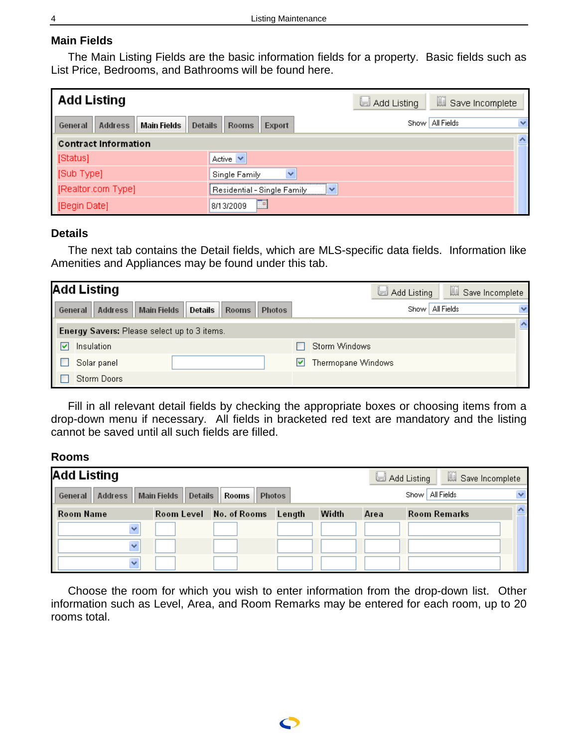# <span id="page-3-0"></span>**Main Fields**

The Main Listing Fields are the basic information fields for a property. Basic fields such as List Price, Bedrooms, and Bathrooms will be found here.

| <b>Add Listing</b>                                  |                                  | Add Listing | save Incomplete                   |
|-----------------------------------------------------|----------------------------------|-------------|-----------------------------------|
| Main Fields<br>Address<br><b>Details</b><br>General | <b>Rooms</b><br>Export           |             | Show   All Fields<br>$\checkmark$ |
| <b>Contract Information</b>                         |                                  |             | $\overline{\mathbf{v}}$           |
| [Status]                                            | Active $\vee$                    |             |                                   |
| [Sub Type]                                          | $\checkmark$<br>Single Family    |             |                                   |
| [Realtor.com Type]                                  | Residential - Single Family<br>v |             |                                   |
| [Begin Date]                                        | 8/13/2009                        |             |                                   |

# <span id="page-3-1"></span>**Details**

The next tab contains the Detail fields, which are MLS-specific data fields. Information like Amenities and Appliances may be found under this tab.

|         | <b>Add Listing</b>                          |                    |                 |               |                    | Add Listing |            | Save Incomplete |
|---------|---------------------------------------------|--------------------|-----------------|---------------|--------------------|-------------|------------|-----------------|
| General | Address                                     | <b>Main Fields</b> | Details   Rooms | <b>Photos</b> |                    | Show        | All Fields | $\checkmark$    |
|         | Energy Savers: Please select up to 3 items. |                    |                 |               |                    |             |            | ∧<br>$-$        |
| ◛       | Insulation                                  |                    |                 |               | Storm Windows      |             |            |                 |
|         | Solar panel                                 |                    |                 |               | Thermopane Windows |             |            |                 |
|         | <b>Storm Doors</b>                          |                    |                 |               |                    |             |            |                 |

Fill in all relevant detail fields by checking the appropriate boxes or choosing items from a drop-down menu if necessary. All fields in bracketed red text are mandatory and the listing cannot be saved until all such fields are filled.

# <span id="page-3-2"></span>**Rooms**

| <b>Add Listing</b> |                        |              |               |       |      | Save Incomplete<br>Add Listing |  |
|--------------------|------------------------|--------------|---------------|-------|------|--------------------------------|--|
| Address<br>General | Main Fields<br>Details | <b>Rooms</b> | <b>Photos</b> |       |      | Show   All Fields              |  |
| <b>Room Name</b>   | Room Level             | No. of Rooms | Length        | Width | Area | <b>Room Remarks</b>            |  |
|                    |                        |              |               |       |      |                                |  |
|                    |                        |              |               |       |      |                                |  |
|                    |                        |              |               |       |      |                                |  |

Choose the room for which you wish to enter information from the drop-down list. Other information such as Level, Area, and Room Remarks may be entered for each room, up to 20 rooms total.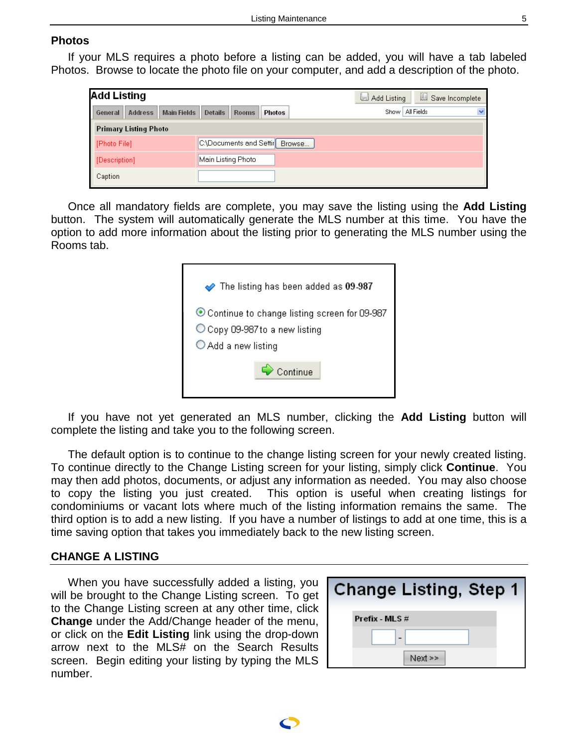#### <span id="page-4-0"></span>**Photos**

If your MLS requires a photo before a listing can be added, you will have a tab labeled Photos. Browse to locate the photo file on your computer, and add a description of the photo.

| Add Listing                       |                                   | Save Incomplete<br>Add Listing |
|-----------------------------------|-----------------------------------|--------------------------------|
| Address<br>Main Fields<br>General | Details<br><b>Rooms</b><br>Photos | Show   All Fields              |
| <b>Primary Listing Photo</b>      |                                   |                                |
| [Photo File]                      | C:\Documents and Settir Browse    |                                |
| [Description]                     | Main Listing Photo                |                                |
| Caption                           |                                   |                                |

Once all mandatory fields are complete, you may save the listing using the **Add Listing** button. The system will automatically generate the MLS number at this time. You have the option to add more information about the listing prior to generating the MLS number using the Rooms tab.

| $\blacktriangleright$ The listing has been added as 09-987                                              |
|---------------------------------------------------------------------------------------------------------|
| ● Continue to change listing screen for 09-987<br>O Copy 09-987 to a new listing<br>○ Add a new listing |
| $\leftrightarrow$ Continue                                                                              |

If you have not yet generated an MLS number, clicking the **Add Listing** button will complete the listing and take you to the following screen.

The default option is to continue to the change listing screen for your newly created listing. To continue directly to the Change Listing screen for your listing, simply click **Continue**. You may then add photos, documents, or adjust any information as needed. You may also choose to copy the listing you just created. This option is useful when creating listings for condominiums or vacant lots where much of the listing information remains the same. The third option is to add a new listing. If you have a number of listings to add at one time, this is a time saving option that takes you immediately back to the new listing screen.

#### <span id="page-4-1"></span>**CHANGE A LISTING**

When you have successfully added a listing, you will be brought to the Change Listing screen. To get to the Change Listing screen at any other time, click **Change** under the Add/Change header of the menu, or click on the **Edit Listing** link using the drop-down arrow next to the MLS# on the Search Results screen. Begin editing your listing by typing the MLS number.

| <b>Change Listing, Step 1</b> |
|-------------------------------|
| Prefix - MLS #                |
|                               |
| Next >>                       |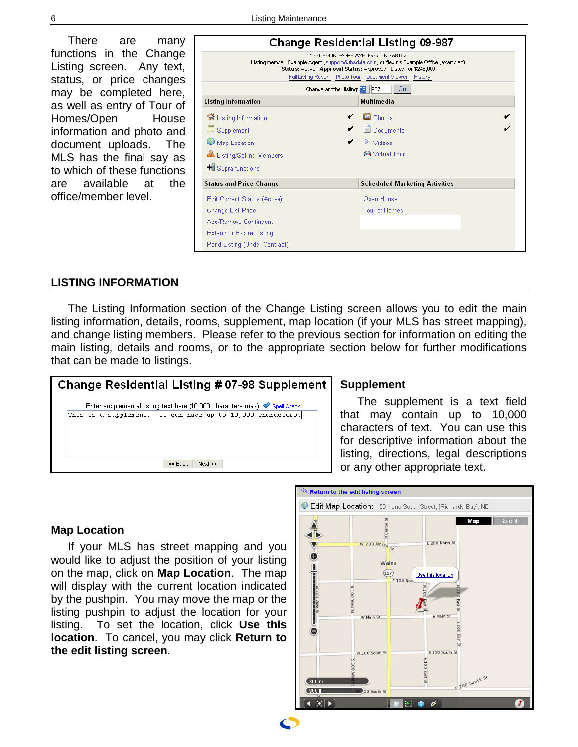There are many functions in the Change Listing screen. Any text, status, or price changes may be completed here, as well as entry of Tour of Homes/Open House information and photo and document uploads. The MLS has the final say as to which of these functions are available at the office/member level.

|                                                                                                                                                                                                                                                                | <b>Change Residential Listing 09-987</b> |  |  |  |  |
|----------------------------------------------------------------------------------------------------------------------------------------------------------------------------------------------------------------------------------------------------------------|------------------------------------------|--|--|--|--|
| 1331 PALINDROME AVE, Fargo, ND 58102<br>Listing member: Example Agent (support@fbsdata.com) of flexmls Example Office (exampleo)<br>Status: Active Approval Status: Approved Listed for \$248,000<br>Full Listing Report Photo Tour Document Viewer<br>History |                                          |  |  |  |  |
| Change another listing: 39 -987                                                                                                                                                                                                                                | Go.                                      |  |  |  |  |
| <b>Listing Information</b>                                                                                                                                                                                                                                     | Multimedia                               |  |  |  |  |
| <b>Listing Information</b>                                                                                                                                                                                                                                     | Photos                                   |  |  |  |  |
| 圓<br>Supplement                                                                                                                                                                                                                                                | Documents                                |  |  |  |  |
| Map Location                                                                                                                                                                                                                                                   | $\triangleright$ Videos                  |  |  |  |  |
| Listing/Selling Members                                                                                                                                                                                                                                        | 69 Virtual Tour                          |  |  |  |  |
| <b>+il</b> Supra functions                                                                                                                                                                                                                                     |                                          |  |  |  |  |
| <b>Status and Price Change</b>                                                                                                                                                                                                                                 | <b>Scheduled Marketing Activities</b>    |  |  |  |  |
| Edit Current Status (Active)                                                                                                                                                                                                                                   | Open House                               |  |  |  |  |
| <b>Change List Price</b>                                                                                                                                                                                                                                       | <b>Tour of Homes</b>                     |  |  |  |  |
| Add/Remove Contingent                                                                                                                                                                                                                                          |                                          |  |  |  |  |
| <b>Extend or Expire Listing</b>                                                                                                                                                                                                                                |                                          |  |  |  |  |
| Pend Listing (Under Contract)                                                                                                                                                                                                                                  |                                          |  |  |  |  |

### <span id="page-5-0"></span>**LISTING INFORMATION**

The Listing Information section of the Change Listing screen allows you to edit the main listing information, details, rooms, supplement, map location (if your MLS has street mapping), and change listing members. Please refer to the previous section for information on editing the main listing, details and rooms, or to the appropriate section below for further modifications that can be made to listings.



#### <span id="page-5-1"></span>**Supplement**

The supplement is a text field that may contain up to 10,000 characters of text. You can use this for descriptive information about the listing, directions, legal descriptions or any other appropriate text.

#### <span id="page-5-2"></span>**Map Location**

If your MLS has street mapping and you would like to adjust the position of your listing on the map, click on **Map Location**. The map will display with the current location indicated by the pushpin. You may move the map or the listing pushpin to adjust the location for your listing. To set the location, click **Use this location**. To cancel, you may click **Return to the edit listing screen**.

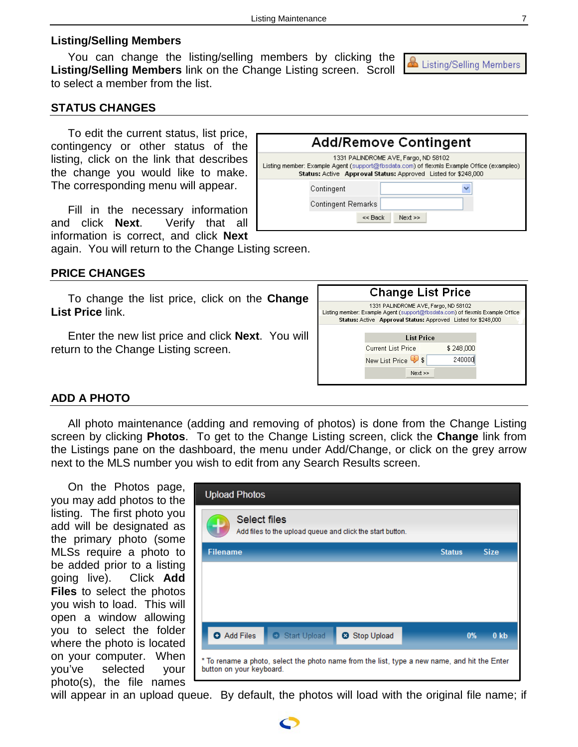## <span id="page-6-0"></span>**Listing/Selling Members**

You can change the listing/selling members by clicking the **Listing/Selling Members** link on the Change Listing screen. Scroll to select a member from the list.

## <span id="page-6-1"></span>**STATUS CHANGES**

To edit the current status, list price, contingency or other status of the listing, click on the link that describes the change you would like to make. The corresponding menu will appear.

Fill in the necessary information and click **Next**. Verify that all information is correct, and click **Next**

again. You will return to the Change Listing screen.

#### <span id="page-6-2"></span>**PRICE CHANGES**

To change the list price, click on the **Change List Price** link.

Enter the new list price and click **Next**. You will return to the Change Listing screen.

| <b>Change List Price</b>                                                                                                                                                               |                                             |  |        |  |  |  |
|----------------------------------------------------------------------------------------------------------------------------------------------------------------------------------------|---------------------------------------------|--|--------|--|--|--|
| 1331 PALINDROME AVE, Fargo, ND 58102<br>Listing member: Example Agent (support@fbsdata.com) of flexmls Example Office<br>Status: Active Approval Status: Approved Listed for \$248,000 |                                             |  |        |  |  |  |
|                                                                                                                                                                                        | <b>List Price</b>                           |  |        |  |  |  |
|                                                                                                                                                                                        | <b>Current List Price</b><br>\$248,000      |  |        |  |  |  |
|                                                                                                                                                                                        | New List Price $\overline{\phantom{a}}\$ \$ |  | 240000 |  |  |  |
|                                                                                                                                                                                        | Next                                        |  |        |  |  |  |
|                                                                                                                                                                                        |                                             |  |        |  |  |  |

**Add/Remove Contingent** 1331 PALINDROME AVE, Fargo, ND 58102 Listing member: Example Agent (support@fbsdata.com) of flexmls Example Office (exampleo) Status: Active Approval Status: Approved Listed for \$248,000

<< Back

 $Next \gg$ 

Contingent

**Contingent Remarks** 

#### <span id="page-6-3"></span>**ADD A PHOTO**

All photo maintenance (adding and removing of photos) is done from the Change Listing screen by clicking **Photos**. To get to the Change Listing screen, click the **Change** link from the Listings pane on the dashboard, the menu under Add/Change, or click on the grey arrow next to the MLS number you wish to edit from any Search Results screen.

On the Photos page, you may add photos to the listing. The first photo you add will be designated as the primary photo (some MLSs require a photo to be added prior to a listing going live). Click **Add Files** to select the photos you wish to load. This will open a window allowing you to select the folder where the photo is located on your computer. When you've selected your photo(s), the file names

|                          | <b>Upload Photos</b> |              |                                                                                              |               |                        |
|--------------------------|----------------------|--------------|----------------------------------------------------------------------------------------------|---------------|------------------------|
|                          | Select files         |              | Add files to the upload queue and click the start button.                                    |               |                        |
| <b>Filename</b>          |                      |              |                                                                                              | <b>Status</b> | <b>Size</b>            |
|                          |                      |              |                                                                                              |               |                        |
|                          |                      |              |                                                                                              |               |                        |
|                          |                      |              |                                                                                              |               |                        |
|                          | <b>O</b> Add Files   | Start Upload | <b>3</b> Stop Upload                                                                         |               | 0 <sub>k</sub> b<br>0% |
| button on your keyboard. |                      |              | * To rename a photo, select the photo name from the list, type a new name, and hit the Enter |               |                        |

will appear in an upload queue. By default, the photos will load with the original file name; if

 $\color{red} \mathbf{\Omega}$  Listing/Selling Members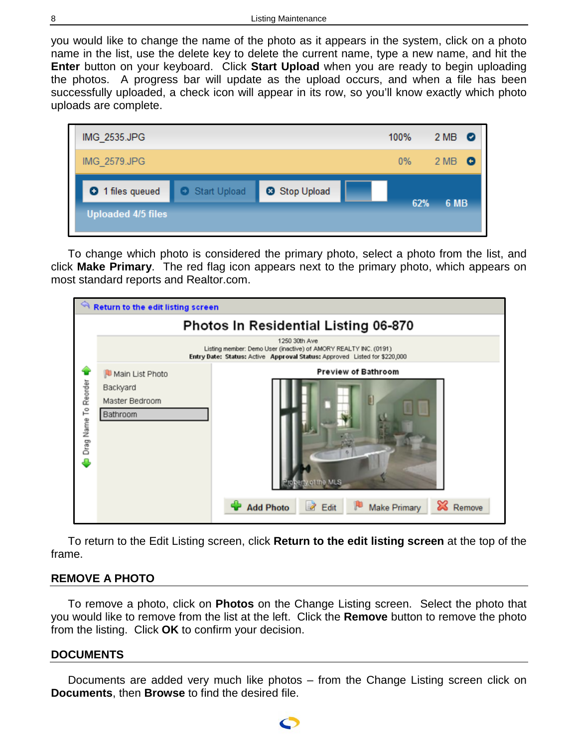you would like to change the name of the photo as it appears in the system, click on a photo name in the list, use the delete key to delete the current name, type a new name, and hit the **Enter** button on your keyboard. Click **Start Upload** when you are ready to begin uploading the photos. A progress bar will update as the upload occurs, and when a file has been successfully uploaded, a check icon will appear in its row, so you'll know exactly which photo uploads are complete.



To change which photo is considered the primary photo, select a photo from the list, and click **Make Primary**. The red flag icon appears next to the primary photo, which appears on most standard reports and Realtor.com.

|                      | <b>Return to the edit listing screen</b>                                                                                                                       |                                                  |  |  |  |  |
|----------------------|----------------------------------------------------------------------------------------------------------------------------------------------------------------|--------------------------------------------------|--|--|--|--|
|                      |                                                                                                                                                                | <b>Photos In Residential Listing 06-870</b>      |  |  |  |  |
|                      | 1250 30th Ave<br>Listing member: Demo User (inactive) of AMORY REALTY INC. (0191)<br>Entry Date: Status: Active Approval Status: Approved Listed for \$220,000 |                                                  |  |  |  |  |
|                      | Main List Photo                                                                                                                                                | <b>Preview of Bathroom</b>                       |  |  |  |  |
|                      | Backyard                                                                                                                                                       |                                                  |  |  |  |  |
|                      | Master Bedroom                                                                                                                                                 |                                                  |  |  |  |  |
| Drag Name To Reorder | Bathroom                                                                                                                                                       |                                                  |  |  |  |  |
|                      |                                                                                                                                                                |                                                  |  |  |  |  |
|                      |                                                                                                                                                                |                                                  |  |  |  |  |
|                      |                                                                                                                                                                |                                                  |  |  |  |  |
|                      |                                                                                                                                                                | seriv of the MLS                                 |  |  |  |  |
|                      |                                                                                                                                                                |                                                  |  |  |  |  |
|                      |                                                                                                                                                                | B<br>Add Photo<br>Make Primary<br>Edit<br>Remove |  |  |  |  |
|                      |                                                                                                                                                                |                                                  |  |  |  |  |

To return to the Edit Listing screen, click **Return to the edit listing screen** at the top of the frame.

# <span id="page-7-0"></span>**REMOVE A PHOTO**

To remove a photo, click on **Photos** on the Change Listing screen. Select the photo that you would like to remove from the list at the left. Click the **Remove** button to remove the photo from the listing. Click **OK** to confirm your decision.

# <span id="page-7-1"></span>**DOCUMENTS**

Documents are added very much like photos – from the Change Listing screen click on **Documents**, then **Browse** to find the desired file.

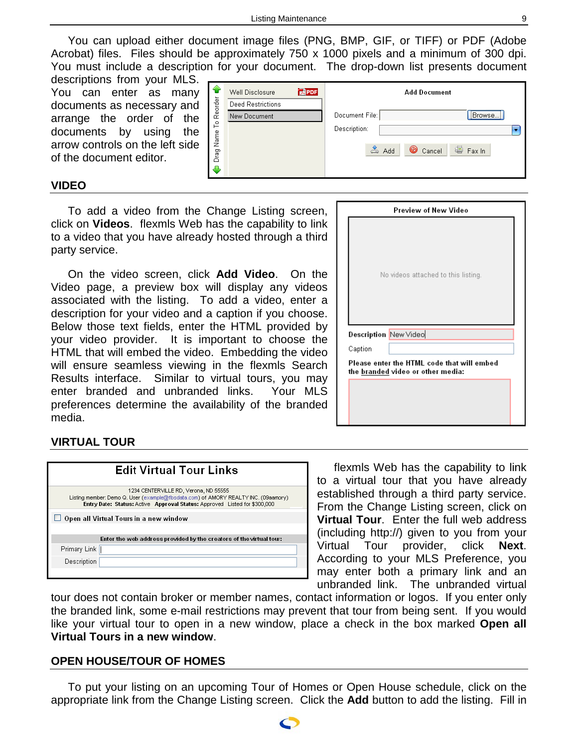You can upload either document image files (PNG, BMP, GIF, or TIFF) or PDF (Adobe Acrobat) files. Files should be approximately 750 x 1000 pixels and a minimum of 300 dpi. You must include a description for your document. The drop-down list presents document

descriptions from your MLS. You can enter as many documents as necessary and arrange the order of the documents by using the arrow controls on the left side of the document editor.

| ↷                                     | Well Disclosure<br>Deed Restrictions | <b>REPDF</b> | Add Document                                         |                                |
|---------------------------------------|--------------------------------------|--------------|------------------------------------------------------|--------------------------------|
| Reorder<br>은<br>Name<br><br>Drag<br>┻ | New Document                         |              | Document File:<br>Description:<br>2<br>Cancel<br>Add | Browse)<br><sup>画</sup> Fax In |

#### <span id="page-8-0"></span>**VIDEO**

To add a video from the Change Listing screen, click on **Videos**. flexmls Web has the capability to link to a video that you have already hosted through a third party service.

On the video screen, click **Add Video**. On the Video page, a preview box will display any videos associated with the listing. To add a video, enter a description for your video and a caption if you choose. Below those text fields, enter the HTML provided by your video provider. It is important to choose the HTML that will embed the video. Embedding the video will ensure seamless viewing in the flexmls Search Results interface. Similar to virtual tours, you may enter branded and unbranded links. Your MLS preferences determine the availability of the branded media.

# <span id="page-8-1"></span>**VIRTUAL TOUR**

| <b>Edit Virtual Tour Links</b>                                                                                                                                                                                  |  |  |  |
|-----------------------------------------------------------------------------------------------------------------------------------------------------------------------------------------------------------------|--|--|--|
| 1234 CENTERVILLE RD, Verona, ND 55555<br>Listing member: Demo Q. User (example@fbsdata.com) of AMORY REALTY INC. (09aamory)<br><b>Entry Date: Status: Active Approval Status: Approved Listed for \$300,000</b> |  |  |  |
| $\Box$ Open all Virtual Tours in a new window                                                                                                                                                                   |  |  |  |
|                                                                                                                                                                                                                 |  |  |  |
| Enter the web address provided by the creators of the virtual tour:                                                                                                                                             |  |  |  |
| Primary Link                                                                                                                                                                                                    |  |  |  |
| <b>Description</b>                                                                                                                                                                                              |  |  |  |
|                                                                                                                                                                                                                 |  |  |  |

|         | Preview of New Video                                                            |
|---------|---------------------------------------------------------------------------------|
|         | No videos attached to this listing.                                             |
|         | Description New Video                                                           |
| Caption |                                                                                 |
|         | Please enter the HTML code that will embed<br>the branded video or other media: |
|         |                                                                                 |
|         |                                                                                 |
|         |                                                                                 |

flexmls Web has the capability to link to a virtual tour that you have already established through a third party service. From the Change Listing screen, click on **Virtual Tour**. Enter the full web address (including http://) given to you from your Virtual Tour provider, click **Next**. According to your MLS Preference, you may enter both a primary link and an unbranded link. The unbranded virtual

tour does not contain broker or member names, contact information or logos. If you enter only the branded link, some e-mail restrictions may prevent that tour from being sent. If you would like your virtual tour to open in a new window, place a check in the box marked **Open all Virtual Tours in a new window**.

# <span id="page-8-2"></span>**OPEN HOUSE/TOUR OF HOMES**

To put your listing on an upcoming Tour of Homes or Open House schedule, click on the appropriate link from the Change Listing screen. Click the **Add** button to add the listing. Fill in

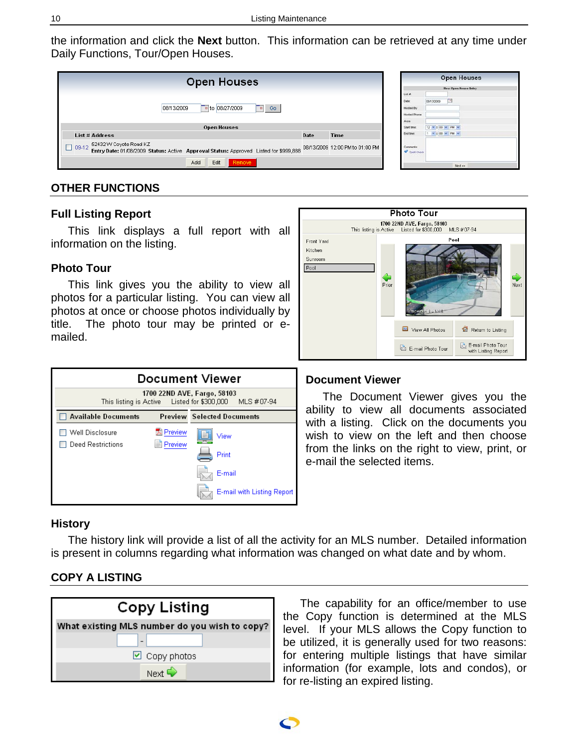the information and click the **Next** button. This information can be retrieved at any time under Daily Functions, Tour/Open Houses.

| <b>Open Houses</b>                                                                                                                                         |      |             |                                                      | <b>Open Houses</b><br><b>Hew Open House Entry</b> |  |
|------------------------------------------------------------------------------------------------------------------------------------------------------------|------|-------------|------------------------------------------------------|---------------------------------------------------|--|
| $\frac{1}{2}$ to 08/27/2009<br>Go<br>08/13/2009<br>H.                                                                                                      |      |             | List #<br>Dotw.<br>Hosted By<br>Hosted Phone<br>Aren | m,<br>08/13/2009                                  |  |
| <b>Open Houses</b>                                                                                                                                         |      |             | Start time                                           | 12 V 1 00 V PM V                                  |  |
| List # Address                                                                                                                                             | Date | <b>Time</b> | End time:                                            | $1.96 \times 100$ $M$ $M$                         |  |
| 52432 VV Coyote Road KZ<br>$09-12$<br>Entry Date: 01/08/2009 Status: Active Approval Status: Approved Listed for \$999,888 08/13/2009 12:00 PM to 01:00 PM |      |             |                                                      | <b>V</b> Spel Check                               |  |
| Edit<br>Add<br>Remove                                                                                                                                      |      |             |                                                      | Next av                                           |  |

# <span id="page-9-0"></span>**OTHER FUNCTIONS**

# <span id="page-9-1"></span>**Full Listing Report**

This link displays a full report with all information on the listing.

# <span id="page-9-2"></span>**Photo Tour**

This link gives you the ability to view all photos for a particular listing. You can view all photos at once or choose photos individually by title. The photo tour may be printed or emailed.



#### **Photo Tour** 1700 22ND AVE, Fargo, 58103<br>Active Listed for \$300,000 This listing is Active MLS #07-94 Front Yard Pool Kitchen Sunroom Pool Prior Next View All Photos Return to Listing E-mail Photo Tour<br>with Listing Report E-mail Photo Tour

# <span id="page-9-3"></span>**Document Viewer**

The Document Viewer gives you the ability to view all documents associated with a listing. Click on the documents you wish to view on the left and then choose from the links on the right to view, print, or e-mail the selected items.

# <span id="page-9-4"></span>**History**

The history link will provide a list of all the activity for an MLS number. Detailed information is present in columns regarding what information was changed on what date and by whom.

# <span id="page-9-5"></span>**COPY A LISTING**



The capability for an office/member to use the Copy function is determined at the MLS level. If your MLS allows the Copy function to be utilized, it is generally used for two reasons: for entering multiple listings that have similar information (for example, lots and condos), or for re-listing an expired listing.

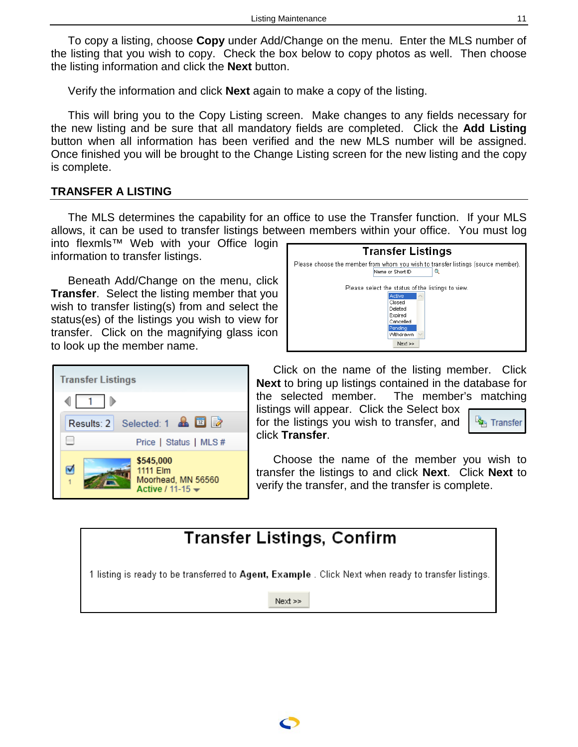To copy a listing, choose **Copy** under Add/Change on the menu. Enter the MLS number of the listing that you wish to copy. Check the box below to copy photos as well. Then choose the listing information and click the **Next** button.

Verify the information and click **Next** again to make a copy of the listing.

This will bring you to the Copy Listing screen. Make changes to any fields necessary for the new listing and be sure that all mandatory fields are completed. Click the **Add Listing** button when all information has been verified and the new MLS number will be assigned. Once finished you will be brought to the Change Listing screen for the new listing and the copy is complete.

# <span id="page-10-0"></span>**TRANSFER A LISTING**

The MLS determines the capability for an office to use the Transfer function. If your MLS allows, it can be used to transfer listings between members within your office. You must log

into flexmls™ Web with your Office login information to transfer listings.

Beneath Add/Change on the menu, click **Transfer**. Select the listing member that you wish to transfer listing(s) from and select the status(es) of the listings you wish to view for transfer. Click on the magnifying glass icon to look up the member name.





Click on the name of the listing member. Click **Next** to bring up listings contained in the database for the selected member. The member's matching listings will appear. Click the Select box for the listings you wish to transfer, and <sup>La</sup>B Transfer click **Transfer**.

Choose the name of the member you wish to transfer the listings to and click **Next**. Click **Next** to verify the transfer, and the transfer is complete.

# **Transfer Listings, Confirm**

1 listing is ready to be transferred to Agent, Example . Click Next when ready to transfer listings.

 $Next$  >>